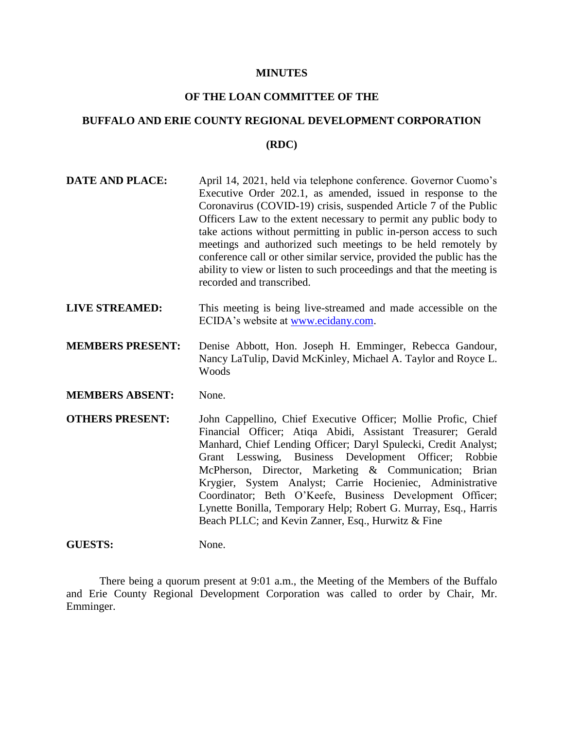#### **MINUTES**

## **OF THE LOAN COMMITTEE OF THE**

# **BUFFALO AND ERIE COUNTY REGIONAL DEVELOPMENT CORPORATION**

#### **(RDC)**

- **DATE AND PLACE:** April 14, 2021, held via telephone conference. Governor Cuomo's Executive Order 202.1, as amended, issued in response to the Coronavirus (COVID-19) crisis, suspended Article 7 of the Public Officers Law to the extent necessary to permit any public body to take actions without permitting in public in-person access to such meetings and authorized such meetings to be held remotely by conference call or other similar service, provided the public has the ability to view or listen to such proceedings and that the meeting is recorded and transcribed.
- **LIVE STREAMED:** This meeting is being live-streamed and made accessible on the ECIDA's website at [www.ecidany.com.](http://www.ecidany.com/)
- **MEMBERS PRESENT:** Denise Abbott, Hon. Joseph H. Emminger, Rebecca Gandour, Nancy LaTulip, David McKinley, Michael A. Taylor and Royce L. Woods
- **MEMBERS ABSENT:** None.
- **OTHERS PRESENT:** John Cappellino, Chief Executive Officer; Mollie Profic, Chief Financial Officer; Atiqa Abidi, Assistant Treasurer; Gerald Manhard, Chief Lending Officer; Daryl Spulecki, Credit Analyst; Grant Lesswing, Business Development Officer; Robbie McPherson, Director, Marketing & Communication; Brian Krygier, System Analyst; Carrie Hocieniec, Administrative Coordinator; Beth O'Keefe, Business Development Officer; Lynette Bonilla, Temporary Help; Robert G. Murray, Esq., Harris Beach PLLC; and Kevin Zanner, Esq., Hurwitz & Fine

### GUESTS: None.

There being a quorum present at 9:01 a.m., the Meeting of the Members of the Buffalo and Erie County Regional Development Corporation was called to order by Chair, Mr. Emminger.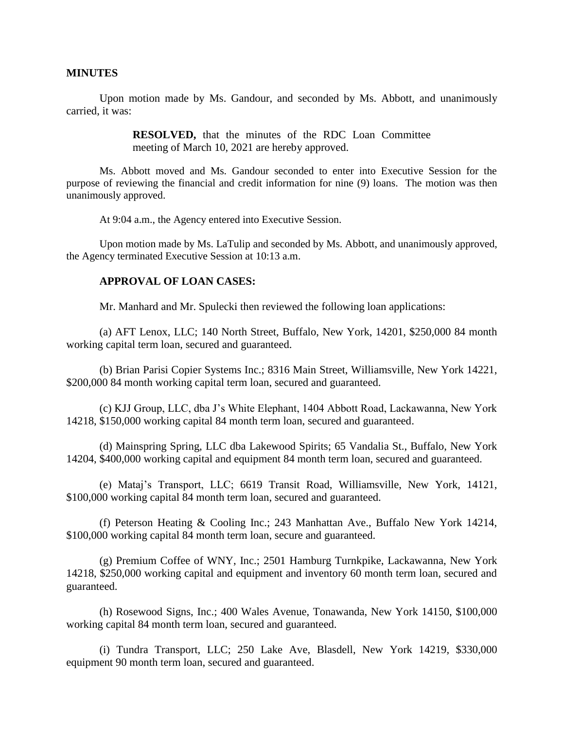### **MINUTES**

Upon motion made by Ms. Gandour, and seconded by Ms. Abbott, and unanimously carried, it was:

> **RESOLVED,** that the minutes of the RDC Loan Committee meeting of March 10, 2021 are hereby approved.

Ms. Abbott moved and Ms. Gandour seconded to enter into Executive Session for the purpose of reviewing the financial and credit information for nine (9) loans. The motion was then unanimously approved.

At 9:04 a.m., the Agency entered into Executive Session.

Upon motion made by Ms. LaTulip and seconded by Ms. Abbott, and unanimously approved, the Agency terminated Executive Session at 10:13 a.m.

### **APPROVAL OF LOAN CASES:**

Mr. Manhard and Mr. Spulecki then reviewed the following loan applications:

(a) AFT Lenox, LLC; 140 North Street, Buffalo, New York, 14201, \$250,000 84 month working capital term loan, secured and guaranteed.

(b) Brian Parisi Copier Systems Inc.; 8316 Main Street, Williamsville, New York 14221, \$200,000 84 month working capital term loan, secured and guaranteed.

(c) KJJ Group, LLC, dba J's White Elephant, 1404 Abbott Road, Lackawanna, New York 14218, \$150,000 working capital 84 month term loan, secured and guaranteed.

(d) Mainspring Spring, LLC dba Lakewood Spirits; 65 Vandalia St., Buffalo, New York 14204, \$400,000 working capital and equipment 84 month term loan, secured and guaranteed.

(e) Mataj's Transport, LLC; 6619 Transit Road, Williamsville, New York, 14121, \$100,000 working capital 84 month term loan, secured and guaranteed.

(f) Peterson Heating & Cooling Inc.; 243 Manhattan Ave., Buffalo New York 14214, \$100,000 working capital 84 month term loan, secure and guaranteed.

(g) Premium Coffee of WNY, Inc.; 2501 Hamburg Turnkpike, Lackawanna, New York 14218, \$250,000 working capital and equipment and inventory 60 month term loan, secured and guaranteed.

(h) Rosewood Signs, Inc.; 400 Wales Avenue, Tonawanda, New York 14150, \$100,000 working capital 84 month term loan, secured and guaranteed.

(i) Tundra Transport, LLC; 250 Lake Ave, Blasdell, New York 14219, \$330,000 equipment 90 month term loan, secured and guaranteed.